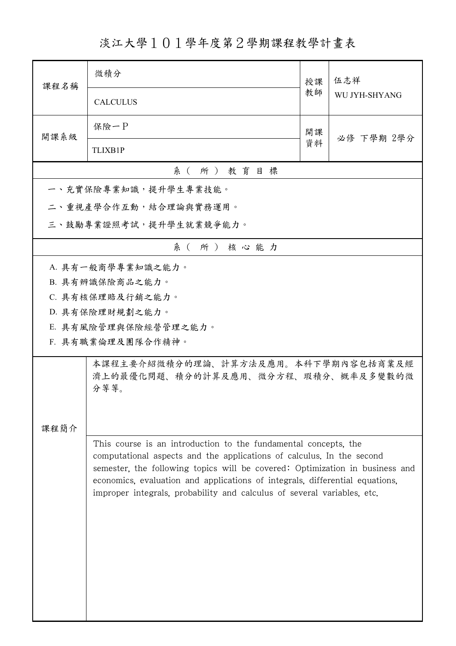淡江大學101學年度第2學期課程教學計畫表

| 課程名稱     | 微積分                                                                                                                                                                                                                                                                                                                                                                                 | 授課 | 伍志祥<br>WU JYH-SHYANG |  |
|----------|-------------------------------------------------------------------------------------------------------------------------------------------------------------------------------------------------------------------------------------------------------------------------------------------------------------------------------------------------------------------------------------|----|----------------------|--|
|          | <b>CALCULUS</b>                                                                                                                                                                                                                                                                                                                                                                     | 教師 |                      |  |
| 開課系級     | 保險一P                                                                                                                                                                                                                                                                                                                                                                                | 開課 | 必修 下學期 2學分           |  |
|          | <b>TLIXB1P</b>                                                                                                                                                                                                                                                                                                                                                                      | 資料 |                      |  |
| 系(所)教育目標 |                                                                                                                                                                                                                                                                                                                                                                                     |    |                      |  |
|          | 一、充實保險專業知識,提升學生專業技能。                                                                                                                                                                                                                                                                                                                                                                |    |                      |  |
|          | 二、重視產學合作互動,結合理論與實務運用。                                                                                                                                                                                                                                                                                                                                                               |    |                      |  |
|          | 三、鼓勵專業證照考試,提升學生就業競爭能力。                                                                                                                                                                                                                                                                                                                                                              |    |                      |  |
| 系(所)核心能力 |                                                                                                                                                                                                                                                                                                                                                                                     |    |                      |  |
|          | A. 具有一般商學專業知識之能力。                                                                                                                                                                                                                                                                                                                                                                   |    |                      |  |
|          | B. 具有辨識保險商品之能力。                                                                                                                                                                                                                                                                                                                                                                     |    |                      |  |
|          | C. 具有核保理賠及行銷之能力。                                                                                                                                                                                                                                                                                                                                                                    |    |                      |  |
|          | D. 具有保險理財規劃之能力。                                                                                                                                                                                                                                                                                                                                                                     |    |                      |  |
|          | E. 具有風險管理與保險經營管理之能力。                                                                                                                                                                                                                                                                                                                                                                |    |                      |  |
|          | F. 具有職業倫理及團隊合作精神。                                                                                                                                                                                                                                                                                                                                                                   |    |                      |  |
|          | 本課程主要介紹微積分的理論、計算方法及應用。本科下學期內容包括商業及經<br>濟上的最優化問題、積分的計算及應用、微分方程、瑕積分、概率及多變數的微<br>分等等。                                                                                                                                                                                                                                                                                                  |    |                      |  |
| 課程簡介     |                                                                                                                                                                                                                                                                                                                                                                                     |    |                      |  |
|          | This course is an introduction to the fundamental concepts, the<br>computational aspects and the applications of calculus. In the second<br>semester, the following topics will be covered: Optimization in business and<br>economics, evaluation and applications of integrals, differential equations,<br>improper integrals, probability and calculus of several variables, etc. |    |                      |  |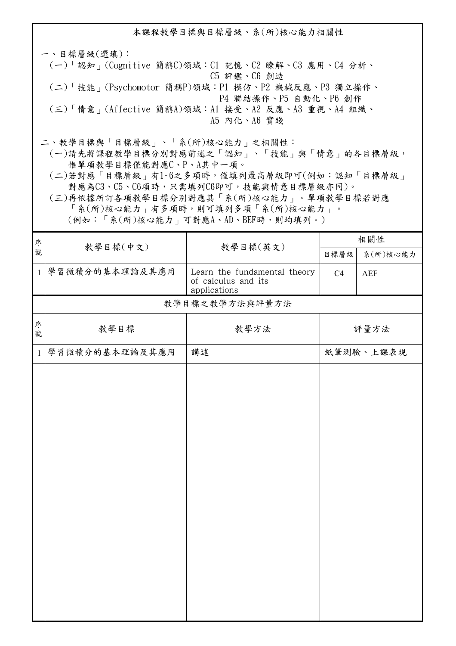本課程教學目標與目標層級、系(所)核心能力相關性 一、目標層級(選填): (一)「認知」(Cognitive 簡稱C)領域:C1 記憶、C2 瞭解、C3 應用、C4 分析、 C5 評鑑、C6 創造 (二)「技能」(Psychomotor 簡稱P)領域:P1 模仿、P2 機械反應、P3 獨立操作、 P4 聯結操作、P5 自動化、P6 創作 (三)「情意」(Affective 簡稱A)領域:A1 接受、A2 反應、A3 重視、A4 組織、 A5 內化、A6 實踐 二、教學目標與「目標層級」、「系(所)核心能力」之相關性: (一)請先將課程教學目標分別對應前述之「認知」、「技能」與「情意」的各目標層級,

惟單項教學目標僅能對應C、P、A其中一項。

 (二)若對應「目標層級」有1~6之多項時,僅填列最高層級即可(例如:認知「目標層級」 對應為C3、C5、C6項時,只需填列C6即可,技能與情意目標層級亦同)。

 (三)再依據所訂各項教學目標分別對應其「系(所)核心能力」。單項教學目標若對應 「系(所)核心能力」有多項時,則可填列多項「系(所)核心能力」。

(例如:「系(所)核心能力」可對應A、AD、BEF時,則均填列。)

| 序            |                      |                                                                     | 相關性  |            |  |  |  |
|--------------|----------------------|---------------------------------------------------------------------|------|------------|--|--|--|
| 號            | 教學目標(中文)<br>教學目標(英文) |                                                                     | 目標層級 | 系(所)核心能力   |  |  |  |
| $\mathbf{1}$ | 學習微積分的基本理論及其應用       | Learn the fundamental theory<br>of calculus and its<br>applications | C4   | <b>AEF</b> |  |  |  |
|              | 教學目標之教學方法與評量方法       |                                                                     |      |            |  |  |  |
| 序<br>號       | 教學目標                 | 教學方法                                                                |      | 評量方法       |  |  |  |
| $\mathbf{1}$ | 學習微積分的基本理論及其應用       | 講述                                                                  |      | 紙筆測驗、上課表現  |  |  |  |
|              |                      |                                                                     |      |            |  |  |  |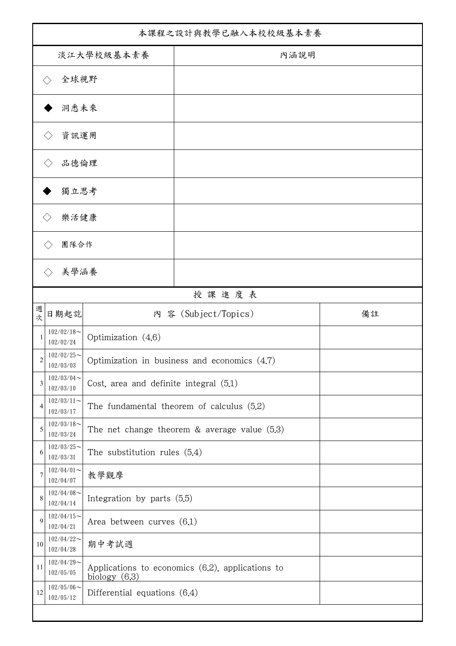| 本課程之設計與教學已融入本校校級基本素養 |                               |                                          |                                                  |    |  |
|----------------------|-------------------------------|------------------------------------------|--------------------------------------------------|----|--|
| 淡江大學校級基本素養           |                               |                                          | 內涵說明                                             |    |  |
|                      | 全球視野                          |                                          |                                                  |    |  |
|                      | 洞悉未來                          |                                          |                                                  |    |  |
|                      | 資訊運用                          |                                          |                                                  |    |  |
|                      | 品德倫理                          |                                          |                                                  |    |  |
|                      | 獨立思考                          |                                          |                                                  |    |  |
|                      | 樂活健康                          |                                          |                                                  |    |  |
|                      | 團隊合作                          |                                          |                                                  |    |  |
|                      | 美學涵養                          |                                          |                                                  |    |  |
|                      |                               |                                          | 授課進度表                                            |    |  |
| 週<br>次               | 日期起訖                          |                                          | 内 容 (Subject/Topics)                             | 備註 |  |
| 1                    | $102/02/18$ ~<br>102/02/24    | Optimization (4.6)                       |                                                  |    |  |
| 2                    | $102/02/25$ ~<br>102/03/03    |                                          | Optimization in business and economics (4.7)     |    |  |
| 3                    | $102/03/04$ ~<br>102/03/10    | Cost, area and definite integral $(5.1)$ |                                                  |    |  |
| $\overline{4}$       | $102/03/11$ ~<br>102/03/17    |                                          | The fundamental theorem of calculus $(5.2)$      |    |  |
| 5                    | $102/03/18$ ~<br>102/03/24    |                                          | The net change theorem $&$ average value (5.3)   |    |  |
| 6                    | $102/03/25$ ~<br>102/03/31    | The substitution rules $(5.4)$           |                                                  |    |  |
| 7                    | $102/04/01$ ~<br>102/04/07    | 教學觀摩                                     |                                                  |    |  |
| 8                    | $102/04/08$ ~<br>102/04/14    | Integration by parts $(5.5)$             |                                                  |    |  |
| 9                    | $102/04/15$ ~<br>102/04/21    | Area between curves $(6.1)$              |                                                  |    |  |
| 10                   | $102/04/22$ ~<br>102/04/28    | 期中考試週                                    |                                                  |    |  |
| 11                   | $102/04/29$ ~<br>102/05/05    | biology $(6.3)$                          | Applications to economics (6.2), applications to |    |  |
| 12                   | $102/05/06 \sim$<br>102/05/12 | Differential equations $(6.4)$           |                                                  |    |  |
|                      |                               |                                          |                                                  |    |  |